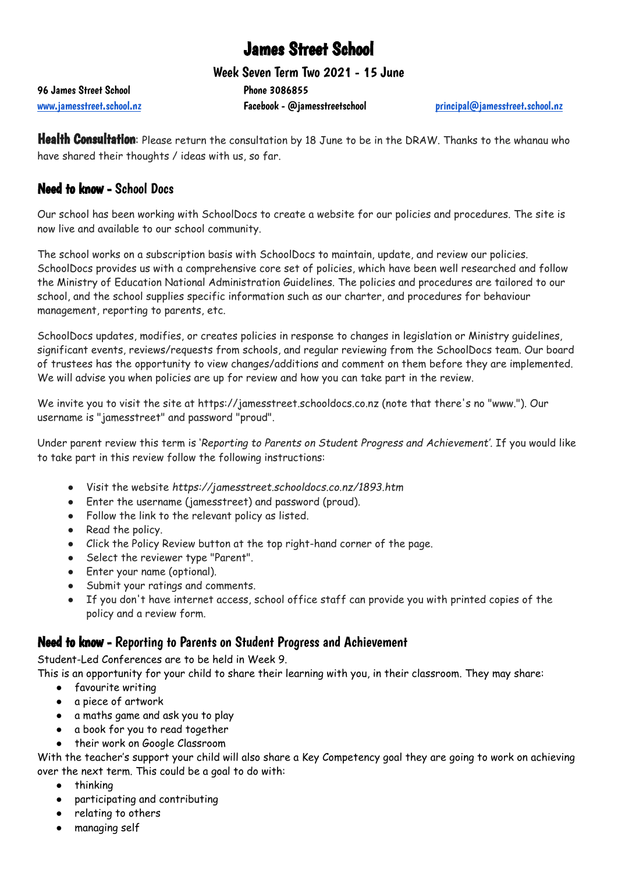# James Street School

Week Seven Term Two 2021 - 15 June

96 James Street School 20086855

[www.jamesstreet.school.nz](http://www.jamesstreet.school.nz) **Facebook - @jamesstreetschool** [principal@jamesstreet.school.nz](mailto:principal@jamesstreet.school.nz)

Health Consultation: Please return the consultation by 18 June to be in the DRAW. Thanks to the whanau who have shared their thoughts / ideas with us, so far.

## Need to know - School Docs

Our school has been working with SchoolDocs to create a website for our policies and procedures. The site is now live and available to our school community.

The school works on a subscription basis with SchoolDocs to maintain, update, and review our policies. SchoolDocs provides us with a comprehensive core set of policies, which have been well researched and follow the Ministry of Education National Administration Guidelines. The policies and procedures are tailored to our school, and the school supplies specific information such as our charter, and procedures for behaviour management, reporting to parents, etc.

SchoolDocs updates, modifies, or creates policies in response to changes in legislation or Ministry guidelines, significant events, reviews/requests from schools, and regular reviewing from the SchoolDocs team. Our board of trustees has the opportunity to view changes/additions and comment on them before they are implemented. We will advise you when policies are up for review and how you can take part in the review.

We invite you to visit the site at https://jamesstreet.schooldocs.co.nz (note that there's no "www."). Our username is "jamesstreet" and password "proud".

Under parent review this term is '*Reporting to Parents on Student Progress and Achievement'.* If you would like to take part in this review follow the following instructions:

- Visit the website *https://jamesstreet.schooldocs.co.nz/1893.htm*
- Enter the username (jamesstreet) and password (proud).
- Follow the link to the relevant policy as listed.
- Read the policy.
- Click the Policy Review button at the top right-hand corner of the page.
- Select the reviewer type "Parent".
- Enter your name (optional).
- Submit your ratings and comments.
- If you don't have internet access, school office staff can provide you with printed copies of the policy and a review form.

### Need to know - Reporting to Parents on Student Progress and Achievement

Student-Led Conferences are to be held in Week 9.

This is an opportunity for your child to share their learning with you, in their classroom. They may share:

- favourite writing
- a piece of artwork
- a maths game and ask you to play
- a book for you to read together
- their work on Google Classroom

With the teacher's support your child will also share a Key Competency goal they are going to work on achieving over the next term. This could be a goal to do with:

- thinking
- participating and contributing
- relating to others
- managing self